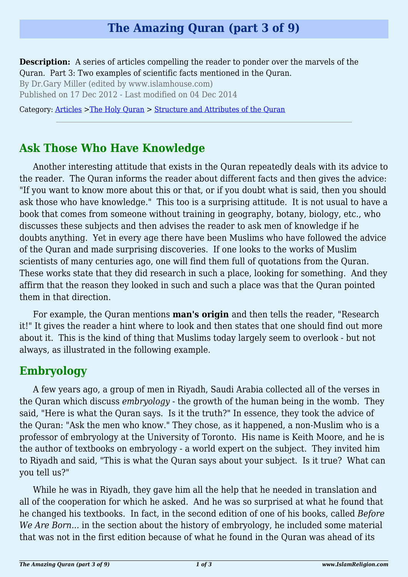# **The Amazing Quran (part 3 of 9)**

**Description:** A series of articles compelling the reader to ponder over the marvels of the Quran. Part 3: Two examples of scientific facts mentioned in the Quran.

By Dr.Gary Miller (edited by www.islamhouse.com)

Published on 17 Dec 2012 - Last modified on 04 Dec 2014

Category: [Articles](http://www.islamreligion.com/articles/) >[The Holy Quran](http://www.islamreligion.com/category/75/) > [Structure and Attributes of the Quran](http://www.islamreligion.com/category/1130/)

### **Ask Those Who Have Knowledge**

Another interesting attitude that exists in the Quran repeatedly deals with its advice to the reader. The Quran informs the reader about different facts and then gives the advice: "If you want to know more about this or that, or if you doubt what is said, then you should ask those who have knowledge." This too is a surprising attitude. It is not usual to have a book that comes from someone without training in geography, botany, biology, etc., who discusses these subjects and then advises the reader to ask men of knowledge if he doubts anything. Yet in every age there have been Muslims who have followed the advice of the Quran and made surprising discoveries. If one looks to the works of Muslim scientists of many centuries ago, one will find them full of quotations from the Quran. These works state that they did research in such a place, looking for something. And they affirm that the reason they looked in such and such a place was that the Quran pointed them in that direction.

For example, the Quran mentions **man's origin** and then tells the reader, "Research it!" It gives the reader a hint where to look and then states that one should find out more about it. This is the kind of thing that Muslims today largely seem to overlook - but not always, as illustrated in the following example.

### **Embryology**

A few years ago, a group of men in Riyadh, Saudi Arabia collected all of the verses in the Quran which discuss *embryology* - the growth of the human being in the womb. They said, "Here is what the Quran says. Is it the truth?" In essence, they took the advice of the Quran: "Ask the men who know." They chose, as it happened, a non-Muslim who is a professor of embryology at the University of Toronto. His name is Keith Moore, and he is the author of textbooks on embryology - a world expert on the subject. They invited him to Riyadh and said, "This is what the Quran says about your subject. Is it true? What can you tell us?"

While he was in Riyadh, they gave him all the help that he needed in translation and all of the cooperation for which he asked. And he was so surprised at what he found that he changed his textbooks. In fact, in the second edition of one of his books, called *Before We Are Born...* in the section about the history of embryology, he included some material that was not in the first edition because of what he found in the Quran was ahead of its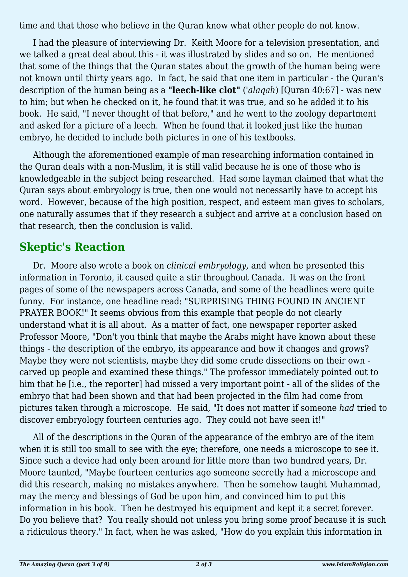time and that those who believe in the Quran know what other people do not know.

I had the pleasure of interviewing Dr. Keith Moore for a television presentation, and we talked a great deal about this - it was illustrated by slides and so on. He mentioned that some of the things that the Quran states about the growth of the human being were not known until thirty years ago. In fact, he said that one item in particular - the Quran's description of the human being as a **"leech-like clot"** (*'alaqah*) [Quran 40:67] - was new to him; but when he checked on it, he found that it was true, and so he added it to his book. He said, "I never thought of that before," and he went to the zoology department and asked for a picture of a leech. When he found that it looked just like the human embryo, he decided to include both pictures in one of his textbooks.

Although the aforementioned example of man researching information contained in the Quran deals with a non-Muslim, it is still valid because he is one of those who is knowledgeable in the subject being researched. Had some layman claimed that what the Quran says about embryology is true, then one would not necessarily have to accept his word. However, because of the high position, respect, and esteem man gives to scholars, one naturally assumes that if they research a subject and arrive at a conclusion based on that research, then the conclusion is valid.

### **Skeptic's Reaction**

Dr. Moore also wrote a book on *clinical embryology*, and when he presented this information in Toronto, it caused quite a stir throughout Canada. It was on the front pages of some of the newspapers across Canada, and some of the headlines were quite funny. For instance, one headline read: "SURPRISING THING FOUND IN ANCIENT PRAYER BOOK!" It seems obvious from this example that people do not clearly understand what it is all about. As a matter of fact, one newspaper reporter asked Professor Moore, "Don't you think that maybe the Arabs might have known about these things - the description of the embryo, its appearance and how it changes and grows? Maybe they were not scientists, maybe they did some crude dissections on their own carved up people and examined these things." The professor immediately pointed out to him that he [i.e., the reporter] had missed a very important point - all of the slides of the embryo that had been shown and that had been projected in the film had come from pictures taken through a microscope. He said, "It does not matter if someone *had* tried to discover embryology fourteen centuries ago. They could not have seen it!"

All of the descriptions in the Quran of the appearance of the embryo are of the item when it is still too small to see with the eye; therefore, one needs a microscope to see it. Since such a device had only been around for little more than two hundred years, Dr. Moore taunted, "Maybe fourteen centuries ago someone secretly had a microscope and did this research, making no mistakes anywhere. Then he somehow taught Muhammad, may the mercy and blessings of God be upon him, and convinced him to put this information in his book. Then he destroyed his equipment and kept it a secret forever. Do you believe that? You really should not unless you bring some proof because it is such a ridiculous theory." In fact, when he was asked, "How do you explain this information in